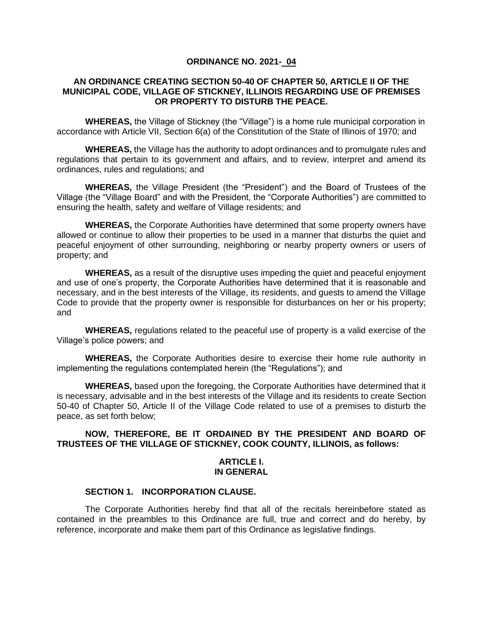#### **ORDINANCE NO. 2021- 04**

# **AN ORDINANCE CREATING SECTION 50-40 OF CHAPTER 50, ARTICLE II OF THE MUNICIPAL CODE, VILLAGE OF STICKNEY, ILLINOIS REGARDING USE OF PREMISES OR PROPERTY TO DISTURB THE PEACE.**

**WHEREAS,** the Village of Stickney (the "Village") is a home rule municipal corporation in accordance with Article VII, Section 6(a) of the Constitution of the State of Illinois of 1970; and

**WHEREAS,** the Village has the authority to adopt ordinances and to promulgate rules and regulations that pertain to its government and affairs, and to review, interpret and amend its ordinances, rules and regulations; and

**WHEREAS,** the Village President (the "President") and the Board of Trustees of the Village (the "Village Board" and with the President, the "Corporate Authorities") are committed to ensuring the health, safety and welfare of Village residents; and

**WHEREAS,** the Corporate Authorities have determined that some property owners have allowed or continue to allow their properties to be used in a manner that disturbs the quiet and peaceful enjoyment of other surrounding, neighboring or nearby property owners or users of property; and

**WHEREAS,** as a result of the disruptive uses impeding the quiet and peaceful enjoyment and use of one's property, the Corporate Authorities have determined that it is reasonable and necessary, and in the best interests of the Village, its residents, and guests to amend the Village Code to provide that the property owner is responsible for disturbances on her or his property; and

**WHEREAS,** regulations related to the peaceful use of property is a valid exercise of the Village's police powers; and

**WHEREAS,** the Corporate Authorities desire to exercise their home rule authority in implementing the regulations contemplated herein (the "Regulations"); and

**WHEREAS,** based upon the foregoing, the Corporate Authorities have determined that it is necessary, advisable and in the best interests of the Village and its residents to create Section 50-40 of Chapter 50, Article II of the Village Code related to use of a premises to disturb the peace, as set forth below;

# **NOW, THEREFORE, BE IT ORDAINED BY THE PRESIDENT AND BOARD OF TRUSTEES OF THE VILLAGE OF STICKNEY, COOK COUNTY, ILLINOIS, as follows:**

# **ARTICLE I. IN GENERAL**

# **SECTION 1. INCORPORATION CLAUSE.**

The Corporate Authorities hereby find that all of the recitals hereinbefore stated as contained in the preambles to this Ordinance are full, true and correct and do hereby, by reference, incorporate and make them part of this Ordinance as legislative findings.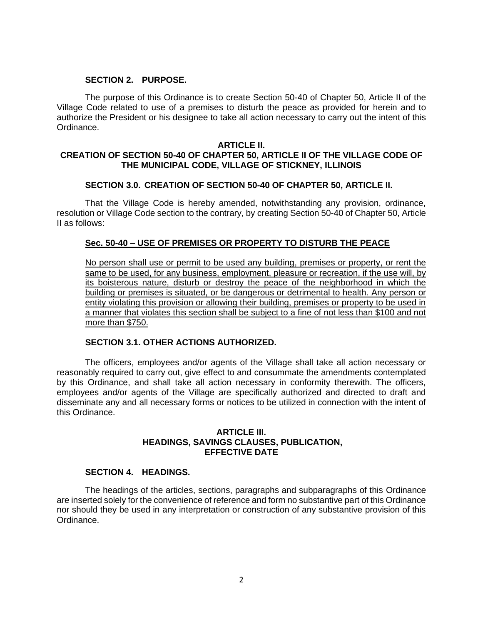# **SECTION 2. PURPOSE.**

The purpose of this Ordinance is to create Section 50-40 of Chapter 50, Article II of the Village Code related to use of a premises to disturb the peace as provided for herein and to authorize the President or his designee to take all action necessary to carry out the intent of this Ordinance.

#### **ARTICLE II.**

# **CREATION OF SECTION 50-40 OF CHAPTER 50, ARTICLE II OF THE VILLAGE CODE OF THE MUNICIPAL CODE, VILLAGE OF STICKNEY, ILLINOIS**

# **SECTION 3.0. CREATION OF SECTION 50-40 OF CHAPTER 50, ARTICLE II.**

That the Village Code is hereby amended, notwithstanding any provision, ordinance, resolution or Village Code section to the contrary, by creating Section 50-40 of Chapter 50, Article II as follows:

# **Sec. 50-40 – USE OF PREMISES OR PROPERTY TO DISTURB THE PEACE**

No person shall use or permit to be used any building, premises or property, or rent the same to be used, for any business, employment, pleasure or recreation, if the use will, by its boisterous nature, disturb or destroy the peace of the neighborhood in which the building or premises is situated, or be dangerous or detrimental to health. Any person or entity violating this provision or allowing their building, premises or property to be used in a manner that violates this section shall be subject to a fine of not less than \$100 and not more than \$750.

# **SECTION 3.1. OTHER ACTIONS AUTHORIZED.**

The officers, employees and/or agents of the Village shall take all action necessary or reasonably required to carry out, give effect to and consummate the amendments contemplated by this Ordinance, and shall take all action necessary in conformity therewith. The officers, employees and/or agents of the Village are specifically authorized and directed to draft and disseminate any and all necessary forms or notices to be utilized in connection with the intent of this Ordinance.

#### **ARTICLE III. HEADINGS, SAVINGS CLAUSES, PUBLICATION, EFFECTIVE DATE**

# **SECTION 4. HEADINGS.**

The headings of the articles, sections, paragraphs and subparagraphs of this Ordinance are inserted solely for the convenience of reference and form no substantive part of this Ordinance nor should they be used in any interpretation or construction of any substantive provision of this Ordinance.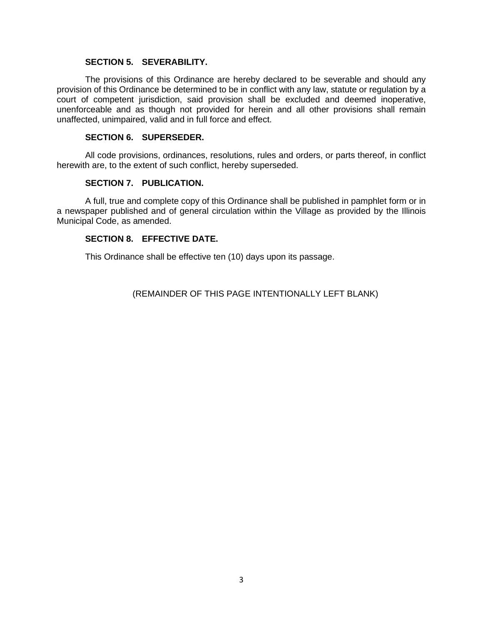# **SECTION 5. SEVERABILITY.**

The provisions of this Ordinance are hereby declared to be severable and should any provision of this Ordinance be determined to be in conflict with any law, statute or regulation by a court of competent jurisdiction, said provision shall be excluded and deemed inoperative, unenforceable and as though not provided for herein and all other provisions shall remain unaffected, unimpaired, valid and in full force and effect.

# **SECTION 6. SUPERSEDER.**

All code provisions, ordinances, resolutions, rules and orders, or parts thereof, in conflict herewith are, to the extent of such conflict, hereby superseded.

# **SECTION 7. PUBLICATION.**

A full, true and complete copy of this Ordinance shall be published in pamphlet form or in a newspaper published and of general circulation within the Village as provided by the Illinois Municipal Code, as amended.

# **SECTION 8. EFFECTIVE DATE.**

This Ordinance shall be effective ten (10) days upon its passage.

(REMAINDER OF THIS PAGE INTENTIONALLY LEFT BLANK)